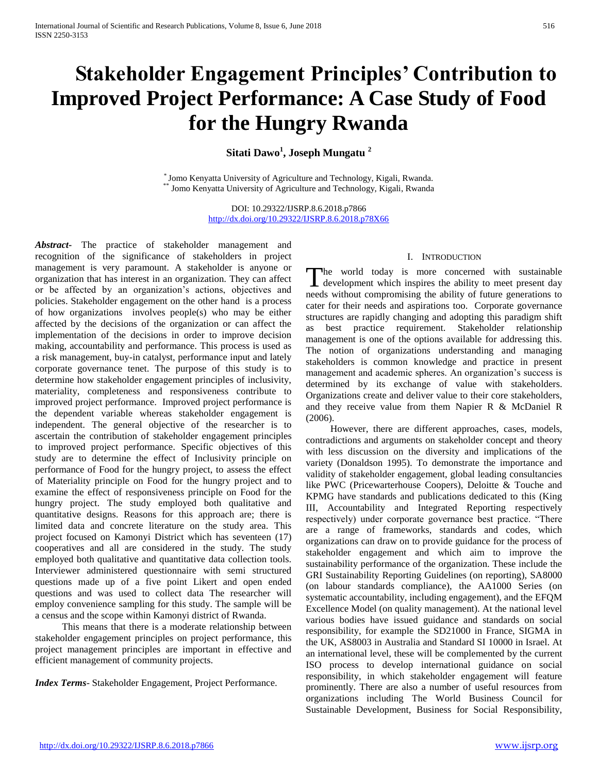# **Stakeholder Engagement Principles' Contribution to Improved Project Performance: A Case Study of Food for the Hungry Rwanda**

**Sitati Dawo<sup>1</sup> , Joseph Mungatu <sup>2</sup>**

\* Jomo Kenyatta University of Agriculture and Technology, Kigali, Rwanda. Jomo Kenyatta University of Agriculture and Technology, Kigali, Rwanda

> DOI: 10.29322/IJSRP.8.6.2018.p7866 <http://dx.doi.org/10.29322/IJSRP.8.6.2018.p78X66>

*Abstract***-** The practice of stakeholder management and recognition of the significance of stakeholders in project management is very paramount. A stakeholder is anyone or organization that has interest in an organization. They can affect or be affected by an organization's actions, objectives and policies. Stakeholder engagement on the other hand is a process of how organizations involves people(s) who may be either affected by the decisions of the organization or can affect the implementation of the decisions in order to improve decision making, accountability and performance. This process is used as a risk management, buy-in catalyst, performance input and lately corporate governance tenet. The purpose of this study is to determine how stakeholder engagement principles of inclusivity, materiality, completeness and responsiveness contribute to improved project performance. Improved project performance is the dependent variable whereas stakeholder engagement is independent. The general objective of the researcher is to ascertain the contribution of stakeholder engagement principles to improved project performance. Specific objectives of this study are to determine the effect of Inclusivity principle on performance of Food for the hungry project, to assess the effect of Materiality principle on Food for the hungry project and to examine the effect of responsiveness principle on Food for the hungry project. The study employed both qualitative and quantitative designs. Reasons for this approach are; there is limited data and concrete literature on the study area. This project focused on Kamonyi District which has seventeen (17) cooperatives and all are considered in the study. The study employed both qualitative and quantitative data collection tools. Interviewer administered questionnaire with semi structured questions made up of a five point Likert and open ended questions and was used to collect data The researcher will employ convenience sampling for this study. The sample will be a census and the scope within Kamonyi district of Rwanda.

 This means that there is a moderate relationship between stakeholder engagement principles on project performance, this project management principles are important in effective and efficient management of community projects.

*Index Terms*- Stakeholder Engagement, Project Performance.

## I. INTRODUCTION

The world today is more concerned with sustainable The world today is more concerned with sustainable development which inspires the ability to meet present day needs without compromising the ability of future generations to cater for their needs and aspirations too. Corporate governance structures are rapidly changing and adopting this paradigm shift as best practice requirement. Stakeholder relationship management is one of the options available for addressing this. The notion of organizations understanding and managing stakeholders is common knowledge and practice in present management and academic spheres. An organization's success is determined by its exchange of value with stakeholders. Organizations create and deliver value to their core stakeholders, and they receive value from them Napier R & McDaniel R (2006).

 However, there are different approaches, cases, models, contradictions and arguments on stakeholder concept and theory with less discussion on the diversity and implications of the variety (Donaldson 1995). To demonstrate the importance and validity of stakeholder engagement, global leading consultancies like PWC (Pricewarterhouse Coopers), Deloitte & Touche and KPMG have standards and publications dedicated to this (King III, Accountability and Integrated Reporting respectively respectively) under corporate governance best practice. "There are a range of frameworks, standards and codes, which organizations can draw on to provide guidance for the process of stakeholder engagement and which aim to improve the sustainability performance of the organization. These include the GRI Sustainability Reporting Guidelines (on reporting), SA8000 (on labour standards compliance), the AA1000 Series (on systematic accountability, including engagement), and the EFQM Excellence Model (on quality management). At the national level various bodies have issued guidance and standards on social responsibility, for example the SD21000 in France, SIGMA in the UK, AS8003 in Australia and Standard SI 10000 in Israel. At an international level, these will be complemented by the current ISO process to develop international guidance on social responsibility, in which stakeholder engagement will feature prominently. There are also a number of useful resources from organizations including The World Business Council for Sustainable Development, Business for Social Responsibility,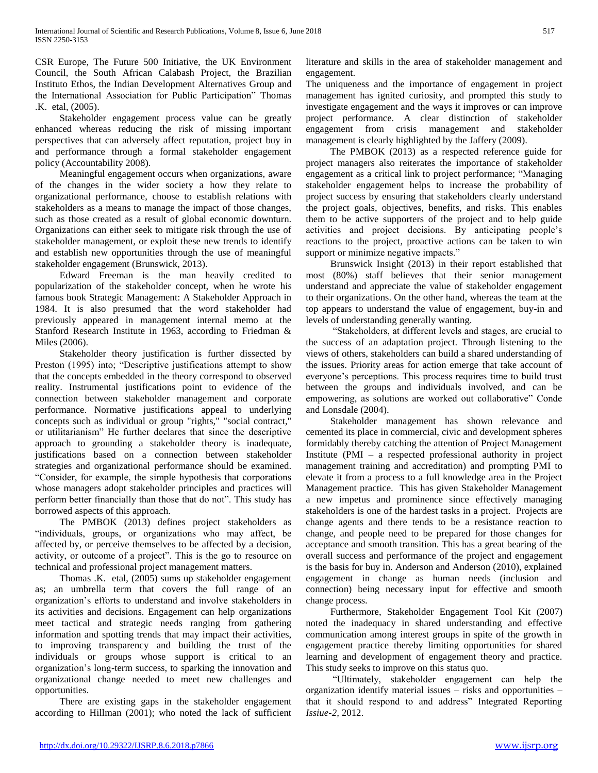CSR Europe, The Future 500 Initiative, the UK Environment Council, the South African Calabash Project, the Brazilian Instituto Ethos, the Indian Development Alternatives Group and the International Association for Public Participation" Thomas .K. etal, (2005).

 Stakeholder engagement process value can be greatly enhanced whereas reducing the risk of missing important perspectives that can adversely affect reputation, project buy in and performance through a formal stakeholder engagement policy (Accountability 2008).

 Meaningful engagement occurs when organizations, aware of the changes in the wider society a how they relate to organizational performance, choose to establish relations with stakeholders as a means to manage the impact of those changes, such as those created as a result of global economic downturn. Organizations can either seek to mitigate risk through the use of stakeholder management, or exploit these new trends to identify and establish new opportunities through the use of meaningful stakeholder engagement (Brunswick, 2013).

 Edward Freeman is the man heavily credited to popularization of the stakeholder concept, when he wrote his famous book Strategic Management: A Stakeholder Approach in 1984. It is also presumed that the word stakeholder had previously appeared in management internal memo at the Stanford Research Institute in 1963, according to Friedman & Miles (2006).

 Stakeholder theory justification is further dissected by Preston (1995) into; "Descriptive justifications attempt to show that the concepts embedded in the theory correspond to observed reality. Instrumental justifications point to evidence of the connection between stakeholder management and corporate performance. Normative justifications appeal to underlying concepts such as individual or group "rights," "social contract," or utilitarianism" He further declares that since the descriptive approach to grounding a stakeholder theory is inadequate, justifications based on a connection between stakeholder strategies and organizational performance should be examined. "Consider, for example, the simple hypothesis that corporations whose managers adopt stakeholder principles and practices will perform better financially than those that do not". This study has borrowed aspects of this approach.

 The PMBOK (2013) defines project stakeholders as "individuals, groups, or organizations who may affect, be affected by, or perceive themselves to be affected by a decision, activity, or outcome of a project". This is the go to resource on technical and professional project management matters.

 Thomas .K. etal, (2005) sums up stakeholder engagement as; an umbrella term that covers the full range of an organization's efforts to understand and involve stakeholders in its activities and decisions. Engagement can help organizations meet tactical and strategic needs ranging from gathering information and spotting trends that may impact their activities, to improving transparency and building the trust of the individuals or groups whose support is critical to an organization's long-term success, to sparking the innovation and organizational change needed to meet new challenges and opportunities.

 There are existing gaps in the stakeholder engagement according to Hillman (2001); who noted the lack of sufficient literature and skills in the area of stakeholder management and engagement.

The uniqueness and the importance of engagement in project management has ignited curiosity, and prompted this study to investigate engagement and the ways it improves or can improve project performance. A clear distinction of stakeholder engagement from crisis management and stakeholder management is clearly highlighted by the Jaffery (2009).

 The PMBOK (2013) as a respected reference guide for project managers also reiterates the importance of stakeholder engagement as a critical link to project performance; "Managing stakeholder engagement helps to increase the probability of project success by ensuring that stakeholders clearly understand the project goals, objectives, benefits, and risks. This enables them to be active supporters of the project and to help guide activities and project decisions. By anticipating people's reactions to the project, proactive actions can be taken to win support or minimize negative impacts."

 Brunswick Insight (2013) in their report established that most (80%) staff believes that their senior management understand and appreciate the value of stakeholder engagement to their organizations. On the other hand, whereas the team at the top appears to understand the value of engagement, buy-in and levels of understanding generally wanting.

 "Stakeholders, at different levels and stages, are crucial to the success of an adaptation project. Through listening to the views of others, stakeholders can build a shared understanding of the issues. Priority areas for action emerge that take account of everyone's perceptions. This process requires time to build trust between the groups and individuals involved, and can be empowering, as solutions are worked out collaborative" Conde and Lonsdale (2004).

 Stakeholder management has shown relevance and cemented its place in commercial, civic and development spheres formidably thereby catching the attention of Project Management Institute (PMI – a respected professional authority in project management training and accreditation) and prompting PMI to elevate it from a process to a full knowledge area in the Project Management practice. This has given Stakeholder Management a new impetus and prominence since effectively managing stakeholders is one of the hardest tasks in a project. Projects are change agents and there tends to be a resistance reaction to change, and people need to be prepared for those changes for acceptance and smooth transition. This has a great bearing of the overall success and performance of the project and engagement is the basis for buy in. Anderson and Anderson (2010), explained engagement in change as human needs (inclusion and connection) being necessary input for effective and smooth change process.

 Furthermore, Stakeholder Engagement Tool Kit (2007) noted the inadequacy in shared understanding and effective communication among interest groups in spite of the growth in engagement practice thereby limiting opportunities for shared learning and development of engagement theory and practice. This study seeks to improve on this status quo.

 "Ultimately, stakeholder engagement can help the organization identify material issues – risks and opportunities – that it should respond to and address" Integrated Reporting *Issiue-2,* 2012.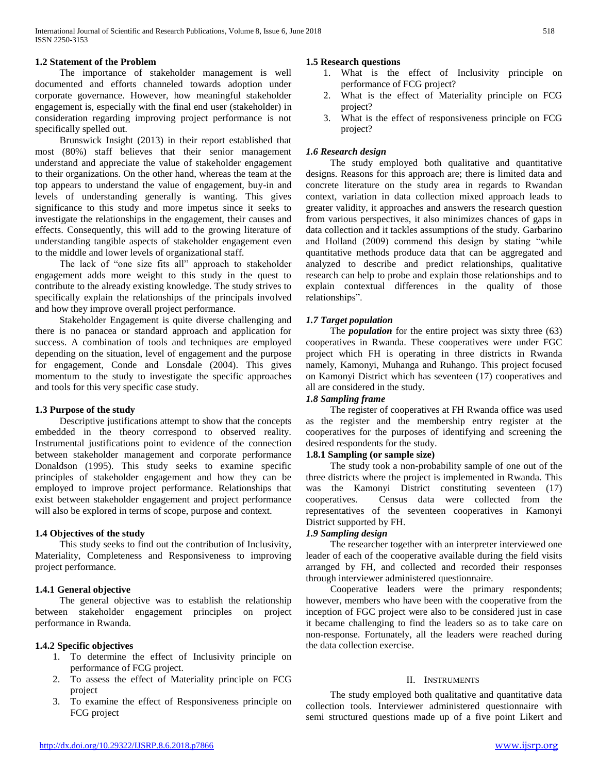## **1.2 Statement of the Problem**

 The importance of stakeholder management is well documented and efforts channeled towards adoption under corporate governance. However, how meaningful stakeholder engagement is, especially with the final end user (stakeholder) in consideration regarding improving project performance is not specifically spelled out.

 Brunswick Insight (2013) in their report established that most (80%) staff believes that their senior management understand and appreciate the value of stakeholder engagement to their organizations. On the other hand, whereas the team at the top appears to understand the value of engagement, buy-in and levels of understanding generally is wanting. This gives significance to this study and more impetus since it seeks to investigate the relationships in the engagement, their causes and effects. Consequently, this will add to the growing literature of understanding tangible aspects of stakeholder engagement even to the middle and lower levels of organizational staff.

 The lack of "one size fits all" approach to stakeholder engagement adds more weight to this study in the quest to contribute to the already existing knowledge. The study strives to specifically explain the relationships of the principals involved and how they improve overall project performance.

 Stakeholder Engagement is quite diverse challenging and there is no panacea or standard approach and application for success. A combination of tools and techniques are employed depending on the situation, level of engagement and the purpose for engagement, Conde and Lonsdale (2004). This gives momentum to the study to investigate the specific approaches and tools for this very specific case study.

## **1.3 Purpose of the study**

 Descriptive justifications attempt to show that the concepts embedded in the theory correspond to observed reality. Instrumental justifications point to evidence of the connection between stakeholder management and corporate performance Donaldson (1995). This study seeks to examine specific principles of stakeholder engagement and how they can be employed to improve project performance. Relationships that exist between stakeholder engagement and project performance will also be explored in terms of scope, purpose and context.

## **1.4 Objectives of the study**

 This study seeks to find out the contribution of Inclusivity, Materiality, Completeness and Responsiveness to improving project performance.

## **1.4.1 General objective**

 The general objective was to establish the relationship between stakeholder engagement principles on project performance in Rwanda.

## **1.4.2 Specific objectives**

- 1. To determine the effect of Inclusivity principle on performance of FCG project.
- 2. To assess the effect of Materiality principle on FCG project
- 3. To examine the effect of Responsiveness principle on FCG project

## **1.5 Research questions**

- 1. What is the effect of Inclusivity principle on performance of FCG project?
- 2. What is the effect of Materiality principle on FCG project?
- 3. What is the effect of responsiveness principle on FCG project?

## *1.6 Research design*

 The study employed both qualitative and quantitative designs. Reasons for this approach are; there is limited data and concrete literature on the study area in regards to Rwandan context, variation in data collection mixed approach leads to greater validity, it approaches and answers the research question from various perspectives, it also minimizes chances of gaps in data collection and it tackles assumptions of the study. Garbarino and Holland (2009) commend this design by stating "while quantitative methods produce data that can be aggregated and analyzed to describe and predict relationships, qualitative research can help to probe and explain those relationships and to explain contextual differences in the quality of those relationships".

## *1.7 Target population*

 The *population* for the entire project was sixty three (63) cooperatives in Rwanda. These cooperatives were under FGC project which FH is operating in three districts in Rwanda namely, Kamonyi, Muhanga and Ruhango. This project focused on Kamonyi District which has seventeen (17) cooperatives and all are considered in the study.

## *1.8 Sampling frame*

 The register of cooperatives at FH Rwanda office was used as the register and the membership entry register at the cooperatives for the purposes of identifying and screening the desired respondents for the study.

## **1.8.1 Sampling (or sample size)**

 The study took a non-probability sample of one out of the three districts where the project is implemented in Rwanda. This was the Kamonyi District constituting seventeen (17) cooperatives. Census data were collected from the representatives of the seventeen cooperatives in Kamonyi District supported by FH.

## *1.9 Sampling design*

 The researcher together with an interpreter interviewed one leader of each of the cooperative available during the field visits arranged by FH, and collected and recorded their responses through interviewer administered questionnaire.

 Cooperative leaders were the primary respondents; however, members who have been with the cooperative from the inception of FGC project were also to be considered just in case it became challenging to find the leaders so as to take care on non-response. Fortunately, all the leaders were reached during the data collection exercise.

## II. INSTRUMENTS

 The study employed both qualitative and quantitative data collection tools. Interviewer administered questionnaire with semi structured questions made up of a five point Likert and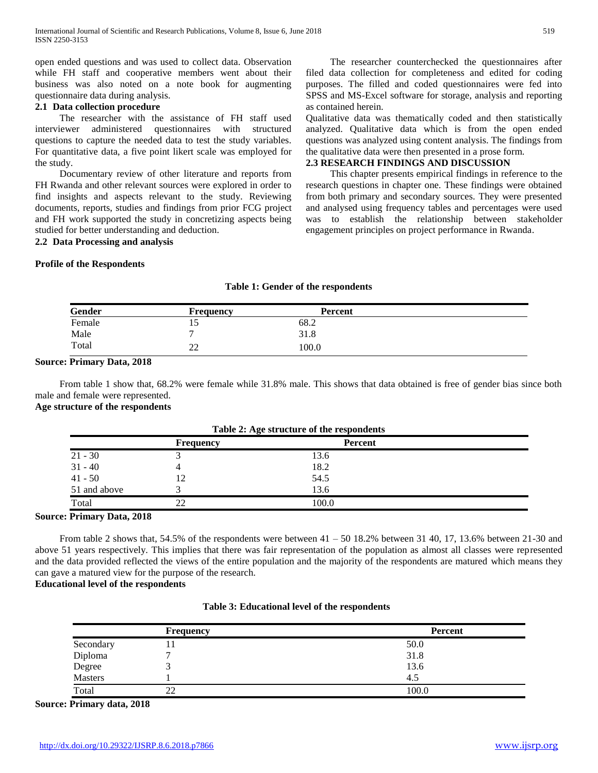open ended questions and was used to collect data. Observation while FH staff and cooperative members went about their business was also noted on a note book for augmenting questionnaire data during analysis.

## **2.1 Data collection procedure**

 The researcher with the assistance of FH staff used interviewer administered questionnaires with structured questions to capture the needed data to test the study variables. For quantitative data, a five point likert scale was employed for the study.

 Documentary review of other literature and reports from FH Rwanda and other relevant sources were explored in order to find insights and aspects relevant to the study. Reviewing documents, reports, studies and findings from prior FCG project and FH work supported the study in concretizing aspects being studied for better understanding and deduction.

**2.2 Data Processing and analysis**

## **Profile of the Respondents**

 The researcher counterchecked the questionnaires after filed data collection for completeness and edited for coding purposes. The filled and coded questionnaires were fed into SPSS and MS-Excel software for storage, analysis and reporting as contained herein.

Qualitative data was thematically coded and then statistically analyzed. Qualitative data which is from the open ended questions was analyzed using content analysis. The findings from the qualitative data were then presented in a prose form.

## **2.3 RESEARCH FINDINGS AND DISCUSSION**

 This chapter presents empirical findings in reference to the research questions in chapter one. These findings were obtained from both primary and secondary sources. They were presented and analysed using frequency tables and percentages were used was to establish the relationship between stakeholder engagement principles on project performance in Rwanda.

## **Gender Frequency Percent** Female 15 68.2 Male  $\begin{array}{ccc} 7 & 31.8 \end{array}$ Total 22 100.0

**Table 1: Gender of the respondents**

## **Source: Primary Data, 2018**

 From table 1 show that, 68.2% were female while 31.8% male. This shows that data obtained is free of gender bias since both male and female were represented.

## **Age structure of the respondents**

| Table 2: Age structure of the respondents |                  |                |  |  |  |
|-------------------------------------------|------------------|----------------|--|--|--|
|                                           | <b>Frequency</b> | <b>Percent</b> |  |  |  |
| $21 - 30$                                 |                  | 13.6           |  |  |  |
| $31 - 40$                                 |                  | 18.2           |  |  |  |
| $41 - 50$                                 | 12               | 54.5           |  |  |  |
| 51 and above                              |                  | 13.6           |  |  |  |
| Total                                     | 22               | 100.0          |  |  |  |

## **Table 2: Age structure of the respondents**

#### **Source: Primary Data, 2018**

From table 2 shows that, 54.5% of the respondents were between  $41 - 50$  18.2% between 31 40, 17, 13.6% between 21-30 and above 51 years respectively. This implies that there was fair representation of the population as almost all classes were represented and the data provided reflected the views of the entire population and the majority of the respondents are matured which means they can gave a matured view for the purpose of the research.

## **Educational level of the respondents**

|           | <b>Frequency</b> | <b>Percent</b> |
|-----------|------------------|----------------|
| Secondary | 11               | 50.0           |
| Diploma   |                  | 31.8           |
| Degree    |                  | 13.6           |
| Masters   |                  | 4.5            |
| Total     | 22               | 100.0          |

## **Table 3: Educational level of the respondents**

**Source: Primary data, 2018**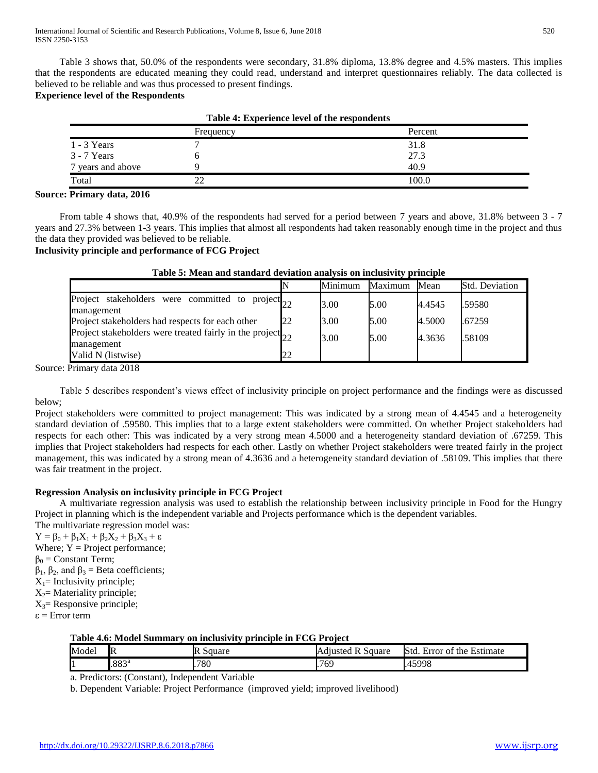Table 3 shows that, 50.0% of the respondents were secondary, 31.8% diploma, 13.8% degree and 4.5% masters. This implies that the respondents are educated meaning they could read, understand and interpret questionnaires reliably. The data collected is believed to be reliable and was thus processed to present findings.

## **Experience level of the Respondents**

| Table 4: Experience level of the respondents |           |         |  |  |  |
|----------------------------------------------|-----------|---------|--|--|--|
|                                              | Frequency | Percent |  |  |  |
| $1 - 3$ Years                                |           | 31.8    |  |  |  |
| $3 - 7$ Years                                |           | 27.3    |  |  |  |
| 7 years and above                            |           | 40.9    |  |  |  |
| Total                                        |           | 100.0   |  |  |  |

## **Source: Primary data, 2016**

 From table 4 shows that, 40.9% of the respondents had served for a period between 7 years and above, 31.8% between 3 - 7 years and 27.3% between 1-3 years. This implies that almost all respondents had taken reasonably enough time in the project and thus the data they provided was believed to be reliable.

## **Inclusivity principle and performance of FCG Project**

|                                                                               |    | Minimum | Maximum | Mean   | <b>Std. Deviation</b> |
|-------------------------------------------------------------------------------|----|---------|---------|--------|-----------------------|
| Project stakeholders were committed to project $_{22}$<br>management          |    | 3.00    | 5.00    | 4.4545 | .59580                |
| Project stakeholders had respects for each other                              | 22 | 3.00    | 5.00    | 4.5000 | .67259                |
| Project stakeholders were treated fairly in the project $_{22}$<br>management |    | 3.00    | 5.00    | 4.3636 | .58109                |
| Valid N (listwise)                                                            |    |         |         |        |                       |
|                                                                               |    |         |         |        |                       |

## **Table 5: Mean and standard deviation analysis on inclusivity principle**

Source: Primary data 2018

 Table 5 describes respondent's views effect of inclusivity principle on project performance and the findings were as discussed below;

Project stakeholders were committed to project management: This was indicated by a strong mean of 4.4545 and a heterogeneity standard deviation of .59580. This implies that to a large extent stakeholders were committed. On whether Project stakeholders had respects for each other: This was indicated by a very strong mean 4.5000 and a heterogeneity standard deviation of .67259. This implies that Project stakeholders had respects for each other. Lastly on whether Project stakeholders were treated fairly in the project management, this was indicated by a strong mean of 4.3636 and a heterogeneity standard deviation of .58109. This implies that there was fair treatment in the project.

## **Regression Analysis on inclusivity principle in FCG Project**

 A multivariate regression analysis was used to establish the relationship between inclusivity principle in Food for the Hungry Project in planning which is the independent variable and Projects performance which is the dependent variables. The multivariate regression model was:

 $Y = \beta_0 + \beta_1 X_1 + \beta_2 X_2 + \beta_3 X_3 + \varepsilon$ Where;  $Y = Project performance$ ;  $\beta_0$  = Constant Term;  $β<sub>1</sub>, β<sub>2</sub>, and β<sub>3</sub> = Beta coefficients;$  $X_1$ = Inclusivity principle;  $X_2$ = Materiality principle;  $X_3$ = Responsive principle;  $\varepsilon$  = Error term

## **Table 4.6: Model Summary on inclusivity principle in FCG Project**

| Model | R              | $\alpha$ 110 $\alpha$<br>ж<br>Suuare | Square<br>Adjusted<br>B | Std<br>Estimate<br>∠rror<br>the<br>. റ |
|-------|----------------|--------------------------------------|-------------------------|----------------------------------------|
|       | $.883^{\circ}$ | .780                                 | $\sim$<br>לס'<br>. .    | 15008<br>$\Delta$<br><b>20</b><br>. J  |

a. Predictors: (Constant), Independent Variable

b. Dependent Variable: Project Performance (improved yield; improved livelihood)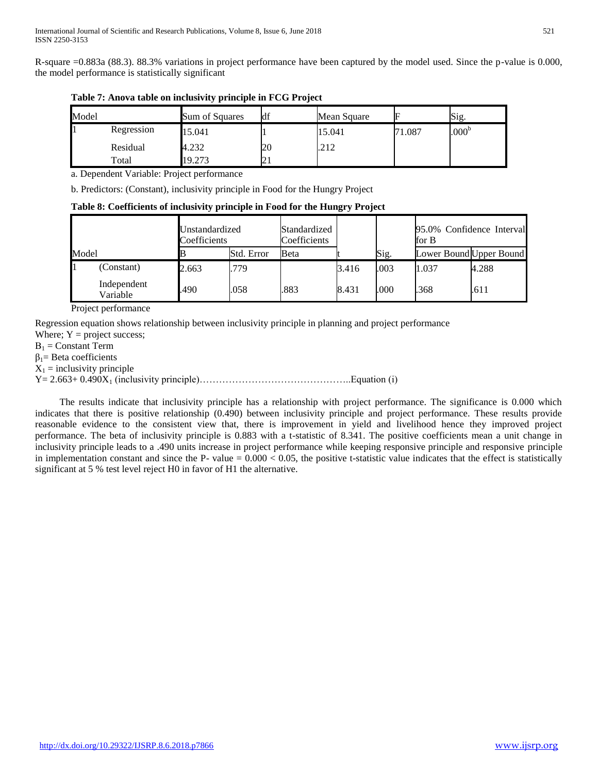R-square =0.883a (88.3). 88.3% variations in project performance have been captured by the model used. Since the p-value is 0.000, the model performance is statistically significant

| Model |            | Sum of Squares | df   | Mean Square |       | Sig.              |
|-------|------------|----------------|------|-------------|-------|-------------------|
|       | Regression | 15.041         |      | 15.041      | 1.087 | .000 <sup>b</sup> |
|       | Residual   | 4.232          | 20   | .212        |       |                   |
|       | Total      | 19.273         | د کا |             |       |                   |

**Table 7: Anova table on inclusivity principle in FCG Project**

a. Dependent Variable: Project performance

b. Predictors: (Constant), inclusivity principle in Food for the Hungry Project

**Table 8: Coefficients of inclusivity principle in Food for the Hungry Project**

|       | Unstandardized<br>Coefficients |       | Standardized<br>Coefficients |      |       | 95.0% Confidence Interval<br>for B |                         |       |
|-------|--------------------------------|-------|------------------------------|------|-------|------------------------------------|-------------------------|-------|
| Model |                                |       | Std. Error                   | Beta |       | Sig.                               | Lower Bound Upper Bound |       |
|       | (Constant)                     | 2.663 | .779                         |      | 3.416 | .003                               | 1.037                   | 4.288 |
|       | Independent<br>Variable        | .490  | .058                         | .883 | 8.431 | .000                               | .368                    | .611  |

Project performance

Regression equation shows relationship between inclusivity principle in planning and project performance

Where;  $Y = project success$ ;

 $B_1 =$  Constant Term

 $β<sub>1</sub>$ = Beta coefficients

 $X_1$  = inclusivity principle

Y= 2.663+ 0.490X<sup>1</sup> (inclusivity principle)………………………………………..Equation (i)

 The results indicate that inclusivity principle has a relationship with project performance. The significance is 0.000 which indicates that there is positive relationship (0.490) between inclusivity principle and project performance. These results provide reasonable evidence to the consistent view that, there is improvement in yield and livelihood hence they improved project performance. The beta of inclusivity principle is 0.883 with a t-statistic of 8.341. The positive coefficients mean a unit change in inclusivity principle leads to a .490 units increase in project performance while keeping responsive principle and responsive principle in implementation constant and since the P- value =  $0.000 < 0.05$ , the positive t-statistic value indicates that the effect is statistically significant at 5 % test level reject H0 in favor of H1 the alternative.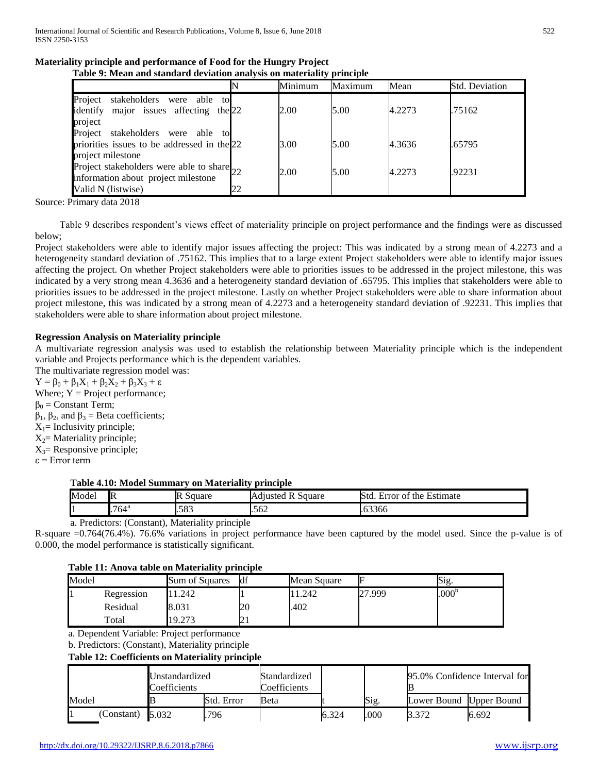|  | Materiality principle and performance of Food for the Hungry Project |  |
|--|----------------------------------------------------------------------|--|
|  |                                                                      |  |

| Table 9: Mean and standard deviation analysis on materiality principle                                   |    |         |         |        |                |  |  |  |  |  |
|----------------------------------------------------------------------------------------------------------|----|---------|---------|--------|----------------|--|--|--|--|--|
|                                                                                                          |    | Minimum | Maximum | Mean   | Std. Deviation |  |  |  |  |  |
| Project<br>stakeholders<br>were able to<br>identify major issues affecting<br>the $22$<br>project        |    | 2.00    | 5.00    | 4.2273 | .75162         |  |  |  |  |  |
| stakeholders were able to<br>Project<br>priorities issues to be addressed in the 22<br>project milestone |    | 3.00    | 5.00    | 4.3636 | .65795         |  |  |  |  |  |
| Project stakeholders were able to share 22<br>information about project milestone<br>Valid N (listwise)  | 22 | 2.00    | 5.00    | 4.2273 | .92231         |  |  |  |  |  |

Source: Primary data 2018

 Table 9 describes respondent's views effect of materiality principle on project performance and the findings were as discussed below;

Project stakeholders were able to identify major issues affecting the project: This was indicated by a strong mean of 4.2273 and a heterogeneity standard deviation of .75162. This implies that to a large extent Project stakeholders were able to identify major issues affecting the project. On whether Project stakeholders were able to priorities issues to be addressed in the project milestone, this was indicated by a very strong mean 4.3636 and a heterogeneity standard deviation of .65795. This implies that stakeholders were able to priorities issues to be addressed in the project milestone. Lastly on whether Project stakeholders were able to share information about project milestone, this was indicated by a strong mean of 4.2273 and a heterogeneity standard deviation of .92231. This implies that stakeholders were able to share information about project milestone.

## **Regression Analysis on Materiality principle**

A multivariate regression analysis was used to establish the relationship between Materiality principle which is the independent variable and Projects performance which is the dependent variables.

The multivariate regression model was:  $Y = \beta_0 + \beta_1 X_1 + \beta_2 X_2 + \beta_3 X_3 + \varepsilon$ Where;  $Y = Project performance$ ;  $β<sub>0</sub> = Constant Term;$  $β<sub>1</sub>, β<sub>2</sub>, and β<sub>3</sub> = Beta coefficients;$  $X_1$ = Inclusivity principle;  $X_2$ = Materiality principle;  $X_3$ = Responsive principle; ε = Error term

## **Table 4.10: Model Summary on Materiality principle**

| Model | - IR           | Square<br>ıк | $\cdot$<br>square<br>- Adjusteg | -<br>$\sim$<br>Std<br>Estimate<br>tror<br>the<br>. ೧† |
|-------|----------------|--------------|---------------------------------|-------------------------------------------------------|
|       | $.764^{\circ}$ | .583         | .562                            | $\sim$<br>.63366                                      |

a. Predictors: (Constant), Materiality principle

R-square =0.764(76.4%). 76.6% variations in project performance have been captured by the model used. Since the p-value is of 0.000, the model performance is statistically significant.

## **Table 11: Anova table on Materiality principle**

| Model |            | Sum of Squares | df | Mean Square |        | $\mathrm{Sig}$    |  |
|-------|------------|----------------|----|-------------|--------|-------------------|--|
|       | Regression | .242           |    | . 242       | 27.999 | .000 <sup>b</sup> |  |
|       | Residual   | 8.031          | 20 | .402        |        |                   |  |
|       | Total      | 19.273         | ∠⊥ |             |        |                   |  |

a. Dependent Variable: Project performance

b. Predictors: (Constant), Materiality principle

## **Table 12: Coefficients on Materiality principle**

|       |                    | Unstandardized<br>Coefficients |            | Standardized<br>Coefficients |       |      | 95.0% Confidence Interval for |       |
|-------|--------------------|--------------------------------|------------|------------------------------|-------|------|-------------------------------|-------|
| Model |                    |                                | Std. Error | Beta                         |       | Sig. | Lower Bound Upper Bound       |       |
|       | (Constant) $5.032$ |                                | 796        |                              | 6.324 | .000 | 3.372                         | 6.692 |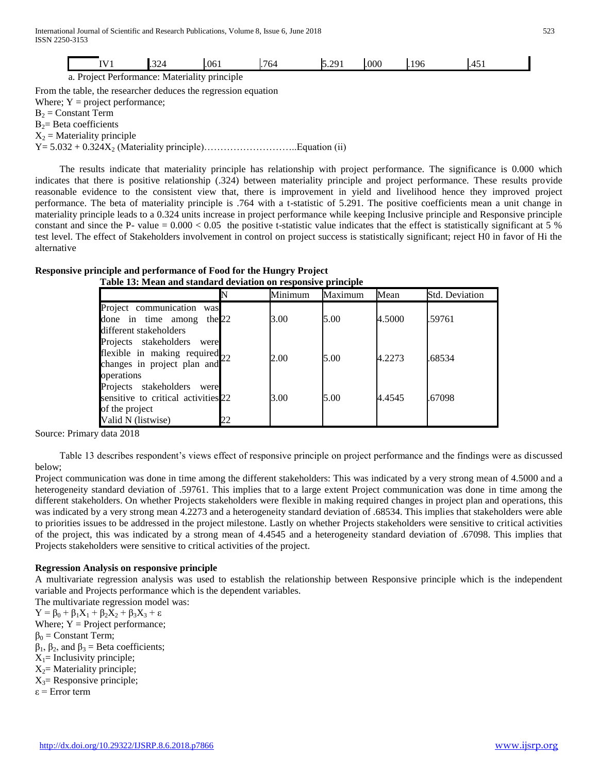|                                   | IV1                                                            | .324 | .061 | .764 | 5.291 | .000 | .196 | .451 |  |  |
|-----------------------------------|----------------------------------------------------------------|------|------|------|-------|------|------|------|--|--|
|                                   | a. Project Performance: Materiality principle                  |      |      |      |       |      |      |      |  |  |
|                                   | From the table, the researcher deduces the regression equation |      |      |      |       |      |      |      |  |  |
| Where; $Y = project$ performance; |                                                                |      |      |      |       |      |      |      |  |  |
|                                   | $B_2$ = Constant Term                                          |      |      |      |       |      |      |      |  |  |
|                                   | $B_2$ = Beta coefficients                                      |      |      |      |       |      |      |      |  |  |
| $X_2$ = Materiality principle     |                                                                |      |      |      |       |      |      |      |  |  |
|                                   |                                                                |      |      |      |       |      |      |      |  |  |

 The results indicate that materiality principle has relationship with project performance. The significance is 0.000 which indicates that there is positive relationship (.324) between materiality principle and project performance. These results provide reasonable evidence to the consistent view that, there is improvement in yield and livelihood hence they improved project performance. The beta of materiality principle is .764 with a t-statistic of 5.291. The positive coefficients mean a unit change in materiality principle leads to a 0.324 units increase in project performance while keeping Inclusive principle and Responsive principle constant and since the P- value  $= 0.000 < 0.05$  the positive t-statistic value indicates that the effect is statistically significant at 5 % test level. The effect of Stakeholders involvement in control on project success is statistically significant; reject H0 in favor of Hi the alternative

| Table 15. Mean and standard deviation on responsive principle                                                     |    |         |         |        |                       |  |  |  |
|-------------------------------------------------------------------------------------------------------------------|----|---------|---------|--------|-----------------------|--|--|--|
|                                                                                                                   |    | Minimum | Maximum | Mean   | <b>Std. Deviation</b> |  |  |  |
| Project communication was<br>done in time among the $22$<br>different stakeholders                                |    | 3.00    | 5.00    | 4.5000 | .59761                |  |  |  |
| Projects stakeholders<br>were<br>flexible in making required $_{22}$<br>changes in project plan and<br>operations |    | 2.00    | 5.00    | 4.2273 | .68534                |  |  |  |
| Projects stakeholders were<br>sensitive to critical activities 22<br>of the project                               |    | 3.00    | 5.00    | 4.4545 | .67098                |  |  |  |
| Valid N (listwise)                                                                                                | 22 |         |         |        |                       |  |  |  |

| Responsive principle and performance of Food for the Hungry Project |  |
|---------------------------------------------------------------------|--|
| Table 13: Mean and standard deviation on responsive principle       |  |

Source: Primary data 2018

 Table 13 describes respondent's views effect of responsive principle on project performance and the findings were as discussed below;

Project communication was done in time among the different stakeholders: This was indicated by a very strong mean of 4.5000 and a heterogeneity standard deviation of .59761. This implies that to a large extent Project communication was done in time among the different stakeholders. On whether Projects stakeholders were flexible in making required changes in project plan and operations, this was indicated by a very strong mean 4.2273 and a heterogeneity standard deviation of .68534. This implies that stakeholders were able to priorities issues to be addressed in the project milestone. Lastly on whether Projects stakeholders were sensitive to critical activities of the project, this was indicated by a strong mean of 4.4545 and a heterogeneity standard deviation of .67098. This implies that Projects stakeholders were sensitive to critical activities of the project.

## **Regression Analysis on responsive principle**

A multivariate regression analysis was used to establish the relationship between Responsive principle which is the independent variable and Projects performance which is the dependent variables.

The multivariate regression model was:  $Y = \beta_0 + \beta_1 X_1 + \beta_2 X_2 + \beta_3 X_3 + \varepsilon$ Where;  $Y = Project performance$ ;  $\beta_0$  = Constant Term;  $β<sub>1</sub>, β<sub>2</sub>, and β<sub>3</sub> = Beta coefficients;$  $X_1$ = Inclusivity principle;  $X_2$ = Materiality principle;  $X_3$ = Responsive principle;

ε = Error term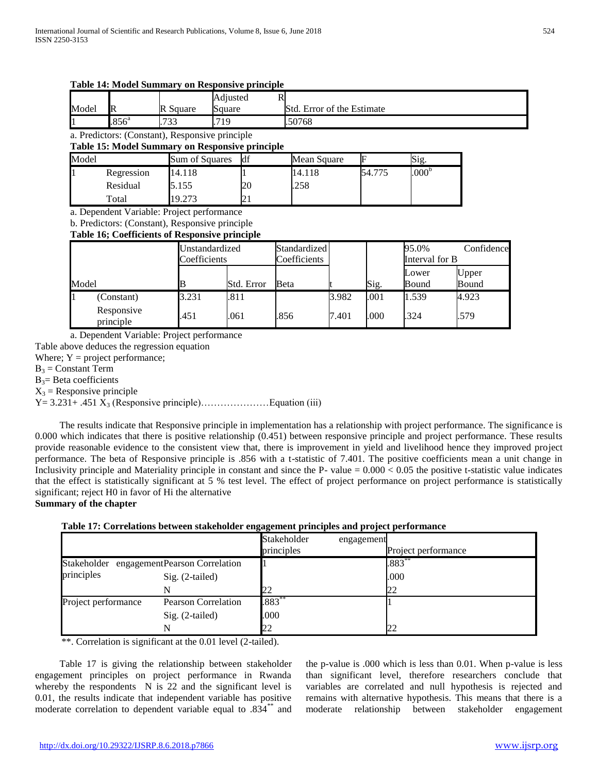| Model | R                                                                                                                                                      | R Square       | Square                | Std. Error of the Estimate |                              |       |        |                         |                |  |  |
|-------|--------------------------------------------------------------------------------------------------------------------------------------------------------|----------------|-----------------------|----------------------------|------------------------------|-------|--------|-------------------------|----------------|--|--|
|       | .856 <sup>a</sup>                                                                                                                                      | .733           | .719                  |                            | 50768                        |       |        |                         |                |  |  |
|       | a. Predictors: (Constant), Responsive principle<br><b>Table 15: Model Summary on Responsive principle</b>                                              |                |                       |                            |                              |       |        |                         |                |  |  |
| Model |                                                                                                                                                        | Sum of Squares |                       | df                         | Mean Square                  |       | F      | Sig.                    |                |  |  |
|       | Regression                                                                                                                                             | 14.118         |                       |                            | 14.118                       |       | 54.775 | .000 <sup>b</sup>       |                |  |  |
|       | Residual                                                                                                                                               | 5.155          |                       | 20                         | .258                         |       |        |                         |                |  |  |
|       | Total                                                                                                                                                  | 19.273         |                       | 21                         |                              |       |        |                         |                |  |  |
|       | a. Dependent Variable: Project performance<br>b. Predictors: (Constant), Responsive principle<br><b>Table 16; Coefficients of Responsive principle</b> |                |                       |                            |                              |       |        |                         |                |  |  |
|       |                                                                                                                                                        | Coefficients   | <b>Jnstandardized</b> |                            | Standardized<br>Coefficients |       |        | 95.0%<br>Interval for B | Confidence     |  |  |
| Model |                                                                                                                                                        |                |                       | Std. Error                 | Beta                         |       | Sig.   | Lower<br>Bound          | Upper<br>Bound |  |  |
|       | (Constant)                                                                                                                                             | 3.231          | .811                  |                            |                              | 3.982 | .001   | 1.539                   | 4.923          |  |  |

principle .451 .061 .856 7.401 .000 .324 .579

Adjusted R

#### **Table 14: Model Summary on Responsive principle**

a. Dependent Variable: Project performance

Table above deduces the regression equation

Responsive

Where;  $Y = project$  performance;

 $B_3$  = Constant Term

 $B_3$ = Beta coefficients

 $X_3$  = Responsive principle

Y= 3.231+ .451 X<sup>3</sup> (Responsive principle)…………………Equation (iii)

 The results indicate that Responsive principle in implementation has a relationship with project performance. The significance is 0.000 which indicates that there is positive relationship (0.451) between responsive principle and project performance. These results provide reasonable evidence to the consistent view that, there is improvement in yield and livelihood hence they improved project performance. The beta of Responsive principle is .856 with a t-statistic of 7.401. The positive coefficients mean a unit change in Inclusivity principle and Materiality principle in constant and since the P- value  $= 0.000 < 0.05$  the positive t-statistic value indicates that the effect is statistically significant at 5 % test level. The effect of project performance on project performance is statistically significant; reject H0 in favor of Hi the alternative

## **Summary of the chapter**

| Table 17: Correlations between stakeholder engagement principles and project performance |  |  |  |  |
|------------------------------------------------------------------------------------------|--|--|--|--|
|                                                                                          |  |  |  |  |

|                                           |                            | Stakeholder<br>principles | engagement | Project performance |
|-------------------------------------------|----------------------------|---------------------------|------------|---------------------|
| Stakeholder engagementPearson Correlation |                            |                           | $.883**$   |                     |
| principles                                | Sig. (2-tailed)            |                           |            | .000                |
|                                           |                            | 22                        |            | 22                  |
| Project performance                       | <b>Pearson Correlation</b> | $.883**$                  |            |                     |
|                                           | Sig. (2-tailed)            | .000                      |            |                     |
|                                           |                            | 22                        |            |                     |

\*\*. Correlation is significant at the 0.01 level (2-tailed).

 Table 17 is giving the relationship between stakeholder engagement principles on project performance in Rwanda whereby the respondents N is 22 and the significant level is 0.01, the results indicate that independent variable has positive moderate correlation to dependent variable equal to .834\*\* and

the p-value is .000 which is less than 0.01. When p-value is less than significant level, therefore researchers conclude that variables are correlated and null hypothesis is rejected and remains with alternative hypothesis. This means that there is a moderate relationship between stakeholder engagement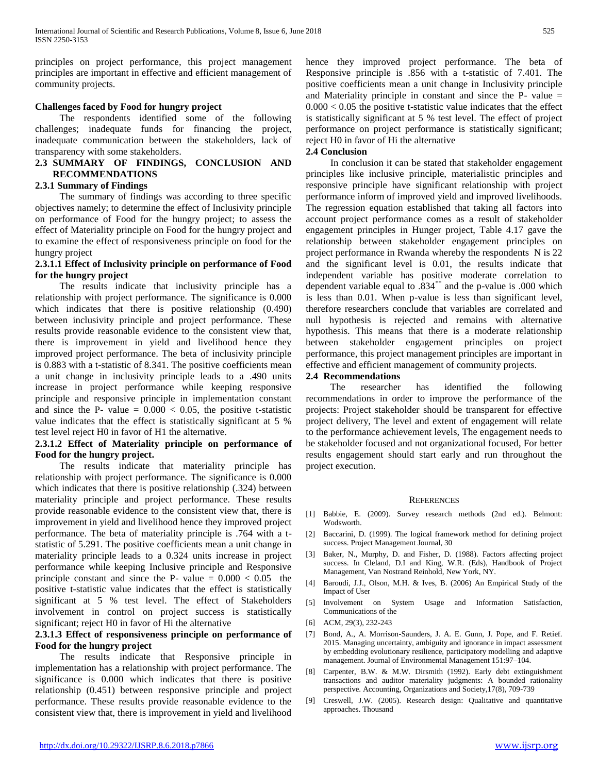principles on project performance, this project management principles are important in effective and efficient management of community projects.

## **Challenges faced by Food for hungry project**

 The respondents identified some of the following challenges; inadequate funds for financing the project, inadequate communication between the stakeholders, lack of transparency with some stakeholders.

#### **2.3 SUMMARY OF FINDINGS, CONCLUSION AND RECOMMENDATIONS**

#### **2.3.1 Summary of Findings**

 The summary of findings was according to three specific objectives namely; to determine the effect of Inclusivity principle on performance of Food for the hungry project; to assess the effect of Materiality principle on Food for the hungry project and to examine the effect of responsiveness principle on food for the hungry project

## **2.3.1.1 Effect of Inclusivity principle on performance of Food for the hungry project**

 The results indicate that inclusivity principle has a relationship with project performance. The significance is 0.000 which indicates that there is positive relationship  $(0.490)$ between inclusivity principle and project performance. These results provide reasonable evidence to the consistent view that, there is improvement in yield and livelihood hence they improved project performance. The beta of inclusivity principle is 0.883 with a t-statistic of 8.341. The positive coefficients mean a unit change in inclusivity principle leads to a .490 units increase in project performance while keeping responsive principle and responsive principle in implementation constant and since the P- value  $= 0.000 < 0.05$ , the positive t-statistic value indicates that the effect is statistically significant at 5 % test level reject H0 in favor of H1 the alternative.

## **2.3.1.2 Effect of Materiality principle on performance of Food for the hungry project.**

 The results indicate that materiality principle has relationship with project performance. The significance is 0.000 which indicates that there is positive relationship (.324) between materiality principle and project performance. These results provide reasonable evidence to the consistent view that, there is improvement in yield and livelihood hence they improved project performance. The beta of materiality principle is .764 with a tstatistic of 5.291. The positive coefficients mean a unit change in materiality principle leads to a 0.324 units increase in project performance while keeping Inclusive principle and Responsive principle constant and since the P- value  $= 0.000 < 0.05$  the positive t-statistic value indicates that the effect is statistically significant at 5 % test level. The effect of Stakeholders involvement in control on project success is statistically significant; reject H0 in favor of Hi the alternative

## **2.3.1.3 Effect of responsiveness principle on performance of Food for the hungry project**

 The results indicate that Responsive principle in implementation has a relationship with project performance. The significance is 0.000 which indicates that there is positive relationship (0.451) between responsive principle and project performance. These results provide reasonable evidence to the consistent view that, there is improvement in yield and livelihood hence they improved project performance. The beta of Responsive principle is .856 with a t-statistic of 7.401. The positive coefficients mean a unit change in Inclusivity principle and Materiality principle in constant and since the P- value =  $0.000 < 0.05$  the positive t-statistic value indicates that the effect is statistically significant at 5 % test level. The effect of project performance on project performance is statistically significant; reject H0 in favor of Hi the alternative

#### **2.4 Conclusion**

 In conclusion it can be stated that stakeholder engagement principles like inclusive principle, materialistic principles and responsive principle have significant relationship with project performance inform of improved yield and improved livelihoods. The regression equation established that taking all factors into account project performance comes as a result of stakeholder engagement principles in Hunger project, Table 4.17 gave the relationship between stakeholder engagement principles on project performance in Rwanda whereby the respondents N is 22 and the significant level is 0.01, the results indicate that independent variable has positive moderate correlation to dependent variable equal to .834\*\* and the p-value is .000 which is less than 0.01. When p-value is less than significant level, therefore researchers conclude that variables are correlated and null hypothesis is rejected and remains with alternative hypothesis. This means that there is a moderate relationship between stakeholder engagement principles on project performance, this project management principles are important in effective and efficient management of community projects.

#### **2.4 Recommendations**

 The researcher has identified the following recommendations in order to improve the performance of the projects: Project stakeholder should be transparent for effective project delivery, The level and extent of engagement will relate to the performance achievement levels, The engagement needs to be stakeholder focused and not organizational focused, For better results engagement should start early and run throughout the project execution.

#### REFERENCES

- [1] Babbie, E. (2009). Survey research methods (2nd ed.). Belmont: Wodsworth.
- [2] Baccarini, D. (1999). The logical framework method for defining project success. Project Management Journal, 30
- [3] Baker, N., Murphy, D. and Fisher, D. (1988). Factors affecting project success. In Cleland, D.I and King, W.R. (Eds), Handbook of Project Management, Van Nostrand Reinhold, New York, NY.
- [4] Baroudi, J.J., Olson, M.H. & Ives, B. (2006) An Empirical Study of the Impact of User
- [5] Involvement on System Usage and Information Satisfaction, Communications of the
- [6] ACM, 29(3), 232-243
- [7] Bond, A., A. Morrison-Saunders, J. A. E. Gunn, J. Pope, and F. Retief. 2015. Managing uncertainty, ambiguity and ignorance in impact assessment by embedding evolutionary resilience, participatory modelling and adaptive management. Journal of Environmental Management 151:97–104.
- [8] Carpenter, B.W. & M.W. Dirsmith (1992). Early debt extinguishment transactions and auditor materiality judgments: A bounded rationality perspective. Accounting, Organizations and Society,17(8), 709-739
- [9] Creswell, J.W. (2005). Research design: Qualitative and quantitative approaches. Thousand